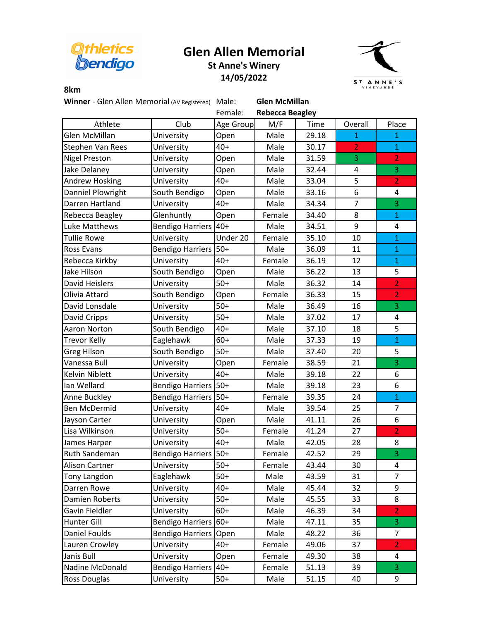

## **Glen Allen Memorial St Anne's Winery**





## **8km**

Winner - Glen Allen Memorial (AV Registered) Male: **Glen McMillan** 

|                      |                         | Female:   | <b>Rebecca Beagley</b> |       |                |                |  |  |
|----------------------|-------------------------|-----------|------------------------|-------|----------------|----------------|--|--|
| Athlete              | Club                    | Age Group | M/F                    | Time  | Overall        | Place          |  |  |
| <b>Glen McMillan</b> | University              | Open      | Male                   | 29.18 | $\mathbf{1}$   | $\mathbf{1}$   |  |  |
| Stephen Van Rees     | University              | 40+       | Male                   | 30.17 | $\overline{2}$ | $\mathbf{1}$   |  |  |
| <b>Nigel Preston</b> | University              | Open      | Male                   | 31.59 | 3              | $\overline{2}$ |  |  |
| Jake Delaney         | University              | Open      | Male                   | 32.44 | 4              | 3              |  |  |
| Andrew Hosking       | University              | 40+       | Male                   | 33.04 | 5              | $\overline{2}$ |  |  |
| Danniel Plowright    | South Bendigo           | Open      | Male                   | 33.16 | 6              | 4              |  |  |
| Darren Hartland      | University              | 40+       | Male                   | 34.34 | $\overline{7}$ | 3              |  |  |
| Rebecca Beagley      | Glenhuntly              | Open      | Female                 | 34.40 | 8              | $\mathbf{1}$   |  |  |
| Luke Matthews        | <b>Bendigo Harriers</b> | $40+$     | Male                   | 34.51 | 9              | 4              |  |  |
| <b>Tullie Rowe</b>   | University              | Under 20  | Female                 | 35.10 | 10             | $\mathbf{1}$   |  |  |
| <b>Ross Evans</b>    | <b>Bendigo Harriers</b> | $50+$     | Male                   | 36.09 | 11             | $\mathbf{1}$   |  |  |
| Rebecca Kirkby       | University              | $40+$     | Female                 | 36.19 | 12             | $\mathbf{1}$   |  |  |
| Jake Hilson          | South Bendigo           | Open      | Male                   | 36.22 | 13             | 5              |  |  |
| David Heislers       | University              | $50+$     | Male                   | 36.32 | 14             | $\overline{2}$ |  |  |
| Olivia Attard        | South Bendigo           | Open      | Female                 | 36.33 | 15             | $\overline{2}$ |  |  |
| David Lonsdale       | University              | $50+$     | Male                   | 36.49 | 16             | 3              |  |  |
| David Cripps         | University              | $50+$     | Male                   | 37.02 | 17             | 4              |  |  |
| Aaron Norton         | South Bendigo           | $40+$     | Male                   | 37.10 | 18             | 5              |  |  |
| <b>Trevor Kelly</b>  | Eaglehawk               | $60+$     | Male                   | 37.33 | 19             | $\overline{1}$ |  |  |
| <b>Greg Hilson</b>   | South Bendigo           | $50+$     | Male                   | 37.40 | 20             | 5              |  |  |
| Vanessa Bull         | University              | Open      | Female                 | 38.59 | 21             | 3              |  |  |
| Kelvin Niblett       | University              | $40+$     | Male                   | 39.18 | 22             | 6              |  |  |
| Ian Wellard          | <b>Bendigo Harriers</b> | $50+$     | Male                   | 39.18 | 23             | 6              |  |  |
| Anne Buckley         | <b>Bendigo Harriers</b> | $50+$     | Female                 | 39.35 | 24             | $\mathbf{1}$   |  |  |
| <b>Ben McDermid</b>  | University              | $40+$     | Male                   | 39.54 | 25             | $\overline{7}$ |  |  |
| Jayson Carter        | University              | Open      | Male                   | 41.11 | 26             | 6              |  |  |
| Lisa Wilkinson       | University              | $50+$     | Female                 | 41.24 | 27             | $\overline{2}$ |  |  |
| James Harper         | University              | $40+$     | Male                   | 42.05 | 28             | 8              |  |  |
| Ruth Sandeman        | <b>Bendigo Harriers</b> | $50+$     | Female                 | 42.52 | 29             | $\overline{3}$ |  |  |
| Alison Cartner       | University              | $50+$     | Female                 | 43.44 | 30             | 4              |  |  |
| Tony Langdon         | Eaglehawk               | $50+$     | Male                   | 43.59 | 31             | $\overline{7}$ |  |  |
| Darren Rowe          | University              | $40+$     | Male                   | 45.44 | 32             | 9              |  |  |
| Damien Roberts       | University              | $50+$     | Male                   | 45.55 | 33             | 8              |  |  |
| Gavin Fieldler       | University              | $60+$     | Male                   | 46.39 | 34             | $\overline{2}$ |  |  |
| Hunter Gill          | <b>Bendigo Harriers</b> | $60+$     | Male                   | 47.11 | 35             | 3              |  |  |
| Daniel Foulds        | <b>Bendigo Harriers</b> | Open      | Male                   | 48.22 | 36             | 7              |  |  |
| Lauren Crowley       | University              | $40+$     | Female                 | 49.06 | 37             | $\overline{2}$ |  |  |
| Janis Bull           | University              | Open      | Female                 | 49.30 | 38             | 4              |  |  |
| Nadine McDonald      | <b>Bendigo Harriers</b> | $40+$     | Female                 | 51.13 | 39             | 3              |  |  |
| Ross Douglas         | University              | $50+$     | Male                   | 51.15 | 40             | 9              |  |  |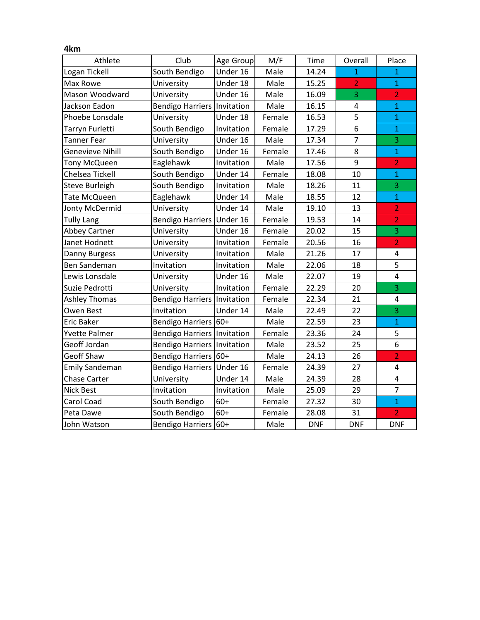| 4km                   |                                    |            |        |            |                |                         |
|-----------------------|------------------------------------|------------|--------|------------|----------------|-------------------------|
| Athlete               | Club                               | Age Group  | M/F    | Time       | Overall        | Place                   |
| Logan Tickell         | South Bendigo                      | Under 16   | Male   | 14.24      | $\overline{1}$ | $\mathbf{1}$            |
| Max Rowe              | University                         | Under 18   | Male   | 15.25      | $\overline{2}$ | $\mathbf{1}$            |
| Mason Woodward        | University                         | Under 16   | Male   | 16.09      | 3              | $\overline{2}$          |
| Jackson Eadon         | <b>Bendigo Harriers Invitation</b> |            | Male   | 16.15      | 4              | $\mathbf 1$             |
| Phoebe Lonsdale       | University                         | Under 18   | Female | 16.53      | 5              | $\mathbf{1}$            |
| Tarryn Furletti       | South Bendigo                      | Invitation | Female | 17.29      | 6              | $\mathbf{1}$            |
| <b>Tanner Fear</b>    | University                         | Under 16   | Male   | 17.34      | $\overline{7}$ | 3                       |
| Genevieve Nihill      | South Bendigo                      | Under 16   | Female | 17.46      | 8              | $\mathbf{1}$            |
| Tony McQueen          | Eaglehawk                          | Invitation | Male   | 17.56      | 9              | $\overline{2}$          |
| Chelsea Tickell       | South Bendigo                      | Under 14   | Female | 18.08      | 10             | $\mathbf{1}$            |
| <b>Steve Burleigh</b> | South Bendigo                      | Invitation | Male   | 18.26      | 11             | 3                       |
| Tate McQueen          | Eaglehawk                          | Under 14   | Male   | 18.55      | 12             | $\mathbf{1}$            |
| Jonty McDermid        | University                         | Under 14   | Male   | 19.10      | 13             | $\overline{2}$          |
| <b>Tully Lang</b>     | <b>Bendigo Harriers</b>            | Under 16   | Female | 19.53      | 14             | $\overline{2}$          |
| <b>Abbey Cartner</b>  | University                         | Under 16   | Female | 20.02      | 15             | 3                       |
| Janet Hodnett         | University                         | Invitation | Female | 20.56      | 16             | $\overline{2}$          |
| Danny Burgess         | University                         | Invitation | Male   | 21.26      | 17             | 4                       |
| <b>Ben Sandeman</b>   | Invitation                         | Invitation | Male   | 22.06      | 18             | 5                       |
| Lewis Lonsdale        | University                         | Under 16   | Male   | 22.07      | 19             | 4                       |
| Suzie Pedrotti        | University                         | Invitation | Female | 22.29      | 20             | 3                       |
| <b>Ashley Thomas</b>  | Bendigo Harriers Invitation        |            | Female | 22.34      | 21             | $\overline{\mathbf{4}}$ |
| Owen Best             | Invitation                         | Under 14   | Male   | 22.49      | 22             | 3                       |
| <b>Eric Baker</b>     | Bendigo Harriers 60+               |            | Male   | 22.59      | 23             | $\mathbf{1}$            |
| <b>Yvette Palmer</b>  | <b>Bendigo Harriers Invitation</b> |            | Female | 23.36      | 24             | 5                       |
| Geoff Jordan          | <b>Bendigo Harriers</b>            | Invitation | Male   | 23.52      | 25             | 6                       |
| <b>Geoff Shaw</b>     | Bendigo Harriers 60+               |            | Male   | 24.13      | 26             | $\overline{2}$          |
| <b>Emily Sandeman</b> | Bendigo Harriers Under 16          |            | Female | 24.39      | 27             | $\overline{\mathbf{4}}$ |
| <b>Chase Carter</b>   | University                         | Under 14   | Male   | 24.39      | 28             | $\overline{\mathbf{4}}$ |
| <b>Nick Best</b>      | Invitation                         | Invitation | Male   | 25.09      | 29             | $\overline{7}$          |
| Carol Coad            | South Bendigo                      | $60+$      | Female | 27.32      | 30             | $\overline{1}$          |
| Peta Dawe             | South Bendigo                      | $60+$      | Female | 28.08      | 31             | $\overline{2}$          |
| John Watson           | <b>Bendigo Harriers</b>            | $60+$      | Male   | <b>DNF</b> | <b>DNF</b>     | <b>DNF</b>              |